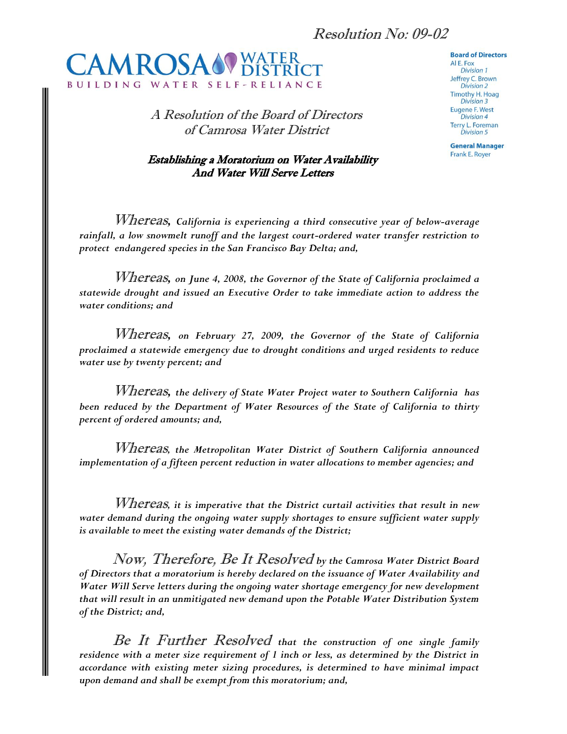

A Resolution of the Board of Directors of Camrosa Water District

## Establishing a Moratorium on Water Availability And Water Will Serve Letters

## **Board of Directors**

AI E. Fox **Division 1** Jeffrey C. Brown Division 2 **Timothy H. Hoag Division 3 Eugene F. West Division 4 Terry L. Foreman Division 5** 

**General Manager** Frank E. Royer

Whereas*, California is experiencing a third consecutive year of below-average rainfall, a low snowmelt runoff and the largest court-ordered water transfer restriction to protect endangered species in the San Francisco Bay Delta; and,*

Whereas*, on June 4, 2008, the Governor of the State of California proclaimed a statewide drought and issued an Executive Order to take immediate action to address the water conditions; and*

Whereas*, on February 27, 2009, the Governor of the State of California proclaimed a statewide emergency due to drought conditions and urged residents to reduce water use by twenty percent; and*

Whereas*, the delivery of State Water Project water to Southern California has been reduced by the Department of Water Resources of the State of California to thirty percent of ordered amounts; and,*

Whereas*, the Metropolitan Water District of Southern California announced implementation of a fifteen percent reduction in water allocations to member agencies; and*

Whereas*, it is imperative that the District curtail activities that result in new water demand during the ongoing water supply shortages to ensure sufficient water supply is available to meet the existing water demands of the District;* 

Now, Therefore, Be It Resolved *by the Camrosa Water District Board of Directors that a moratorium is hereby declared on the issuance of Water Availability and Water Will Serve letters during the ongoing water shortage emergency for new development that will result in an unmitigated new demand upon the Potable Water Distribution System of the District; and,*

Be It Further Resolved *that the construction of one single family residence with a meter size requirement of 1 inch or less, as determined by the District in accordance with existing meter sizing procedures, is determined to have minimal impact upon demand and shall be exempt from this moratorium; and,*